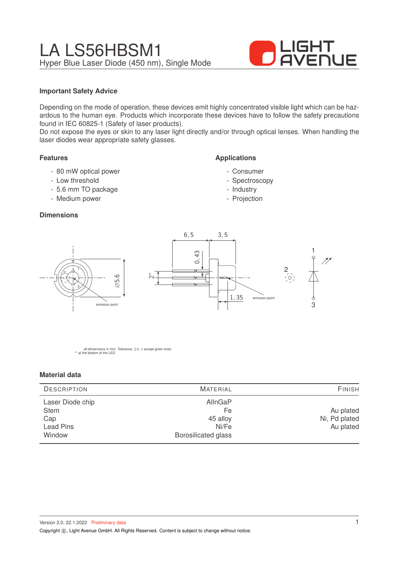# LA LS56HBSM1 Hyper Blue Laser Diode (450 nm), Single Mode



#### **Important Safety Advice**

Depending on the mode of operation, these devices emit highly concentrated visible light which can be hazardous to the human eye. Products which incorporate these devices have to follow the safety precautions found in IEC 60825-1 (Safety of laser products).

Do not expose the eyes or skin to any laser light directly and/or through optical lenses. When handling the laser diodes wear appropriate safety glasses.

#### **Features**

- 80 mW optical power
- Low threshold
- 5.6 mm TO package
- Medium power

1

3

2

#### **Dimensions**



**Applications**

- Consumer - Spectroscopy - Industry - Projection

all dimensions in mm. Tolerance  $\pm 0$ , 1 except given ones \* at the bottom of the LED

#### **Material data**

| <b>DESCRIPTION</b>                                            | <b>MATERIAL</b>                                                  | <b>FINISH</b>                           |  |  |
|---------------------------------------------------------------|------------------------------------------------------------------|-----------------------------------------|--|--|
| Laser Diode chip<br><b>Stem</b><br>Cap<br>Lead Pins<br>Window | AllnGaP<br>Fe<br>45 alloy<br>Ni/Fe<br><b>Borosilicated glass</b> | Au plated<br>Ni, Pd plated<br>Au plated |  |  |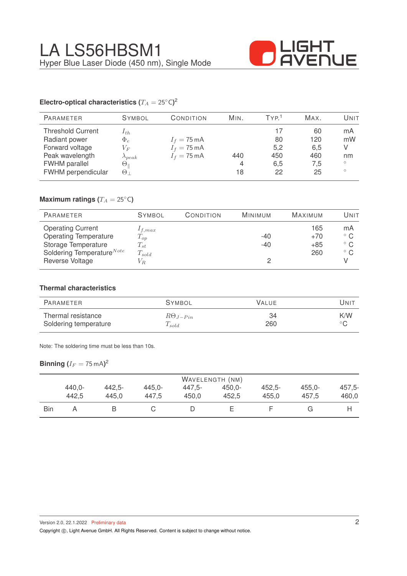

### **Electro-optical characteristics (** $T_A = 25°C$ **)<sup>2</sup>**

| <b>PARAMETER</b>                                                                                                              | <b>SYMBOL</b>                                                                                 | CONDITION                                                               | MIN.           | TYP <sup>1</sup>                    | MAX.                                 | UNIT                                      |
|-------------------------------------------------------------------------------------------------------------------------------|-----------------------------------------------------------------------------------------------|-------------------------------------------------------------------------|----------------|-------------------------------------|--------------------------------------|-------------------------------------------|
| <b>Threshold Current</b><br>Radiant power<br>Forward voltage<br>Peak wavelength<br><b>FWHM</b> parallel<br>FWHM perpendicular | $I_{th}$<br>$\Phi_e$<br>$V_{F}$<br>$\lambda_{peak}$<br>$\Theta_{\parallel}$<br>$\Theta_\perp$ | $I_f = 75 \text{ mA}$<br>$I_f = 75 \text{ mA}$<br>$I_f = 75 \text{ mA}$ | 440<br>4<br>18 | 17<br>80<br>5,2<br>450<br>6,5<br>22 | 60<br>120<br>6,5<br>460<br>7,5<br>25 | mA<br>mW<br>V<br>nm<br>$\circ$<br>$\circ$ |
|                                                                                                                               |                                                                                               |                                                                         |                |                                     |                                      |                                           |

## **Maximum ratings (** $T_A = 25$ °C)

| <b>PARAMETER</b>                      | <b>SYMBOL</b> | CONDITION | MINIMUM | <b>MAXIMUM</b> | Unit         |
|---------------------------------------|---------------|-----------|---------|----------------|--------------|
| <b>Operating Current</b>              | $1_{f,max}$   |           |         | 165            | mA           |
| <b>Operating Temperature</b>          | $T_{op}$      |           | $-40$   | $+70$          | $^{\circ}$ C |
| Storage Temperature                   | $T_{st}$      |           | $-40$   | $+85$          | $^{\circ}$ C |
| Soldering Temperature <sup>Note</sup> | $T_{sold}$    |           |         | 260            | $^{\circ}$ C |
| Reverse Voltage                       | $V_R$         |           |         |                |              |

#### **Thermal characteristics**

| PARAMETER             | <b>SYMBOL</b>     | <b>VALUE</b> | UNIT |
|-----------------------|-------------------|--------------|------|
| Thermal resistance    | $R\Theta_{J-Pin}$ | 34           | K/W  |
| Soldering temperature | $T_{sold}$        | 260          |      |

Note: The soldering time must be less than 10s.

 $\mathsf{Binning}\left(I_F=75\,\mathrm{mA}\right)^2$ 

|     | WAVELENGTH (NM) |           |           |        |           |           |           |          |
|-----|-----------------|-----------|-----------|--------|-----------|-----------|-----------|----------|
|     | $440.0 -$       | $442.5 -$ | $445.0 -$ | 447.5- | $450.0 -$ | $452.5 -$ | $455.0 -$ | $457.5-$ |
|     | 442.5           | 445.0     | 447.5     | 450.0  | 452.5     | 455.0     | 457.5     | 460,0    |
| Bin |                 |           |           |        |           |           |           |          |

Copyright ©, Light Avenue GmbH. All Rights Reserved. Content is subject to change without notice.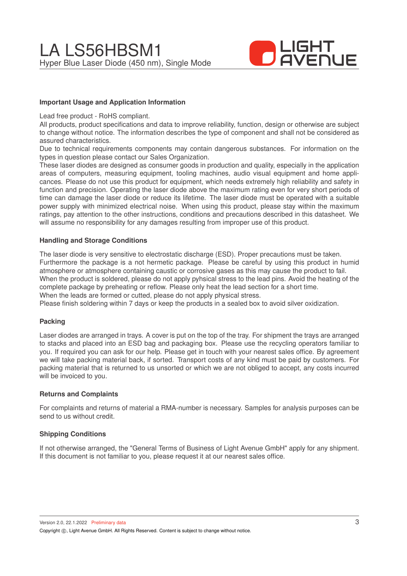

#### **Important Usage and Application Information**

Lead free product - RoHS compliant.

All products, product specifications and data to improve reliability, function, design or otherwise are subject to change without notice. The information describes the type of component and shall not be considered as assured characteristics.

Due to technical requirements components may contain dangerous substances. For information on the types in question please contact our Sales Organization.

These laser diodes are designed as consumer goods in production and quality, especially in the application areas of computers, measuring equipment, tooling machines, audio visual equipment and home applicances. Please do not use this product for equipment, which needs extremely high reliability and safety in function and precision. Operating the laser diode above the maximum rating even for very short periods of time can damage the laser diode or reduce its lifetime. The laser diode must be operated with a suitable power supply with minimized electrical noise. When using this product, please stay within the maximum ratings, pay attention to the other instructions, conditions and precautions described in this datasheet. We will assume no responsibility for any damages resulting from improper use of this product.

#### **Handling and Storage Conditions**

The laser diode is very sensitive to electrostatic discharge (ESD). Proper precautions must be taken. Furthermore the package is a not hermetic package. Please be careful by using this product in humid atmosphere or atmosphere containing caustic or corrosive gases as this may cause the product to fail. When the product is soldered, please do not apply pyhsical stress to the lead pins. Avoid the heating of the complete package by preheating or reflow. Please only heat the lead section for a short time. When the leads are formed or cutted, please do not apply physical stress.

Please finish soldering within 7 days or keep the products in a sealed box to avoid silver oxidization.

#### **Packing**

Laser diodes are arranged in trays. A cover is put on the top of the tray. For shipment the trays are arranged to stacks and placed into an ESD bag and packaging box. Please use the recycling operators familiar to you. If required you can ask for our help. Please get in touch with your nearest sales office. By agreement we will take packing material back, if sorted. Transport costs of any kind must be paid by customers. For packing material that is returned to us unsorted or which we are not obliged to accept, any costs incurred will be invoiced to you.

#### **Returns and Complaints**

For complaints and returns of material a RMA-number is necessary. Samples for analysis purposes can be send to us without credit.

#### **Shipping Conditions**

If not otherwise arranged, the "General Terms of Business of Light Avenue GmbH" apply for any shipment. If this document is not familiar to you, please request it at our nearest sales office.

Version 2.0, 22.1.2022 Preliminary data Copyright (C), Light Avenue GmbH. All Rights Reserved. Content is subject to change without notice.